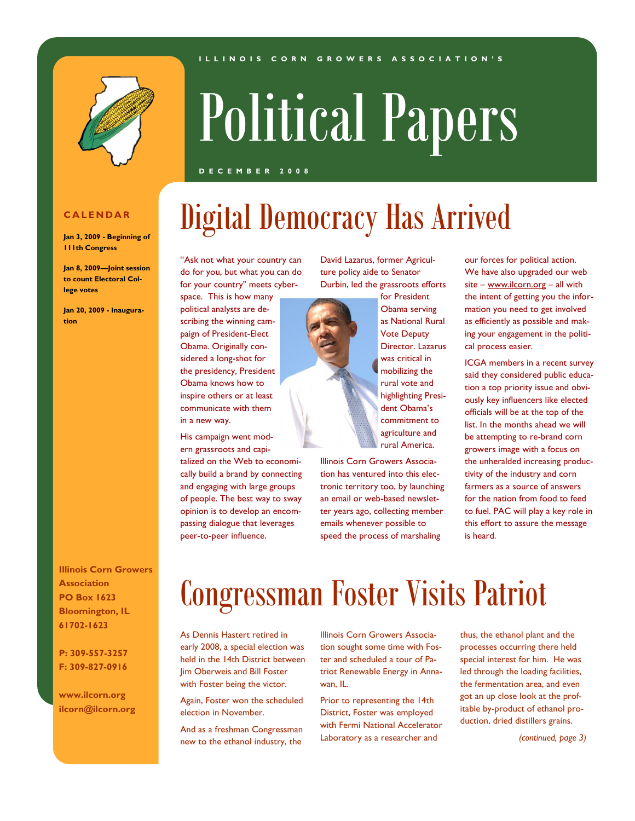#### **I L L I N O I S C O R N G R O W E R S A S S O C I A T I O N ' S**



# Political Papers

Digital Democracy Has Arrived

#### **D E C E M B E R 2 0 0 8**

### **C A L E N D A R**

**Jan 3, 2009 - Beginning of 111th Congress**

**Jan 8, 2009—Joint session to count Electoral College votes** 

**Jan 20, 2009 - Inauguration**

**Illinois Corn Growers Association PO Box 1623 Bloomington, IL 61702-1623**

**P: 309-557-3257 F: 309-827-0916**

**www.ilcorn.org ilcorn@ilcorn.org**

#### "Ask not what your country can do for you, but what you can do for your country" meets cyber-

space. This is how many political analysts are describing the winning campaign of President-Elect Obama. Originally considered a long-shot for the presidency, President Obama knows how to inspire others or at least communicate with them in a new way.

His campaign went modern grassroots and capi-

talized on the Web to economically build a brand by connecting and engaging with large groups of people. The best way to sway opinion is to develop an encompassing dialogue that leverages peer-to-peer influence.

David Lazarus, former Agriculture policy aide to Senator Durbin, led the grassroots efforts



agriculture and rural America. Illinois Corn Growers Association has ventured into this electronic territory too, by launching an email or web-based newsletter years ago, collecting member emails whenever possible to

speed the process of marshaling

our forces for political action. We have also upgraded our web site – [www.ilcorn.org](http://www.ilcorn.org/) – all with the intent of getting you the information you need to get involved as efficiently as possible and making your engagement in the political process easier.

ICGA members in a recent survey said they considered public education a top priority issue and obviously key influencers like elected officials will be at the top of the list. In the months ahead we will be attempting to re-brand corn growers image with a focus on the unheralded increasing productivity of the industry and corn farmers as a source of answers for the nation from food to feed to fuel. PAC will play a key role in this effort to assure the message is heard.

### Congressman Foster Visits Patriot

As Dennis Hastert retired in early 2008, a special election was held in the 14th District between Jim Oberweis and Bill Foster with Foster being the victor.

Again, Foster won the scheduled election in November.

And as a freshman Congressman new to the ethanol industry, the

Illinois Corn Growers Association sought some time with Foster and scheduled a tour of Patriot Renewable Energy in Annawan, IL.

Prior to representing the 14th District, Foster was employed with Fermi National Accelerator Laboratory as a researcher and

thus, the ethanol plant and the processes occurring there held special interest for him. He was led through the loading facilities, the fermentation area, and even got an up close look at the profitable by-product of ethanol production, dried distillers grains.

*(continued, page 3)*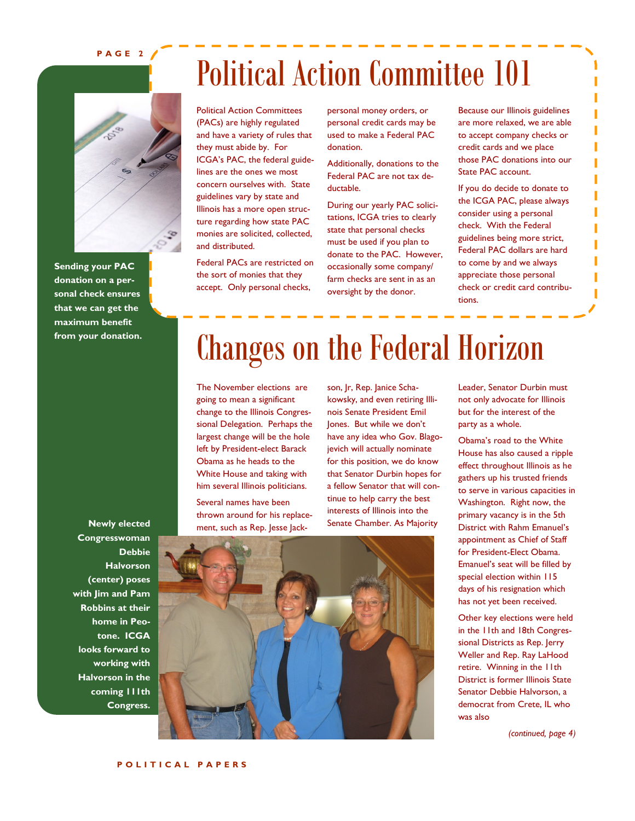#### **P A G E 2**



**Sending your PAC donation on a personal check ensures that we can get the maximum benefit** 

### Political Action Committee 101

Political Action Committees (PACs) are highly regulated and have a variety of rules that they must abide by. For ICGA's PAC, the federal guidelines are the ones we most concern ourselves with. State guidelines vary by state and Illinois has a more open structure regarding how state PAC monies are solicited, collected, and distributed.

Federal PACs are restricted on the sort of monies that they accept. Only personal checks,

personal money orders, or personal credit cards may be used to make a Federal PAC donation.

Additionally, donations to the Federal PAC are not tax deductable.

During our yearly PAC solicitations, ICGA tries to clearly state that personal checks must be used if you plan to donate to the PAC. However, occasionally some company/ farm checks are sent in as an oversight by the donor.

Because our Illinois guidelines are more relaxed, we are able to accept company checks or credit cards and we place those PAC donations into our State PAC account.

If you do decide to donate to the ICGA PAC, please always consider using a personal check. With the Federal guidelines being more strict, Federal PAC dollars are hard to come by and we always appreciate those personal check or credit card contributions.

### **from your donation.** Changes on the Federal Horizon

The November elections are going to mean a significant change to the Illinois Congressional Delegation. Perhaps the largest change will be the hole left by President-elect Barack Obama as he heads to the White House and taking with him several Illinois politicians.

Several names have been thrown around for his replacement, such as Rep. Jesse Jack-

son, Jr, Rep. Janice Schakowsky, and even retiring Illinois Senate President Emil Jones. But while we don't have any idea who Gov. Blagojevich will actually nominate for this position, we do know that Senator Durbin hopes for a fellow Senator that will continue to help carry the best interests of Illinois into the Senate Chamber. As Majority

Leader, Senator Durbin must not only advocate for Illinois but for the interest of the party as a whole.

Obama's road to the White House has also caused a ripple effect throughout Illinois as he gathers up his trusted friends to serve in various capacities in Washington. Right now, the primary vacancy is in the 5th District with Rahm Emanuel's appointment as Chief of Staff for President-Elect Obama. Emanuel's seat will be filled by special election within 115 days of his resignation which has not yet been received.

Other key elections were held in the 11th and 18th Congressional Districts as Rep. Jerry Weller and Rep. Ray LaHood retire. Winning in the 11th District is former Illinois State Senator Debbie Halvorson, a democrat from Crete, IL who was also

*(continued, page 4)*

**Newly elected Congresswoman Debbie Halvorson (center) poses with Jim and Pam Robbins at their home in Peotone. ICGA looks forward to working with Halvorson in the coming 111th Congress.**

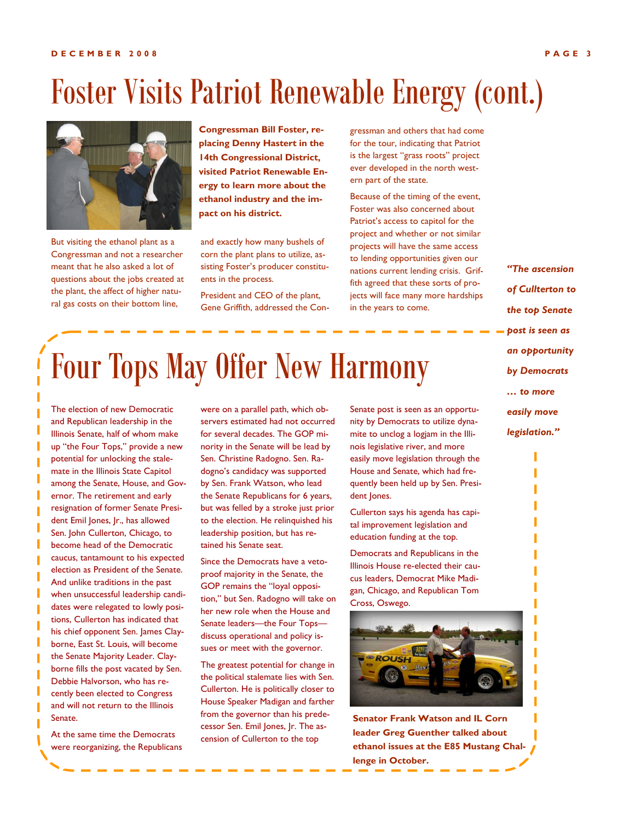#### **D E C E M B E R 2 0 0 8 P A G E 3**

## Foster Visits Patriot Renewable Energy (cont.)



But visiting the ethanol plant as a Congressman and not a researcher meant that he also asked a lot of questions about the jobs created at the plant, the affect of higher natural gas costs on their bottom line,

**Congressman Bill Foster, replacing Denny Hastert in the 14th Congressional District, visited Patriot Renewable Energy to learn more about the ethanol industry and the impact on his district.**

and exactly how many bushels of corn the plant plans to utilize, assisting Foster's producer constituents in the process.

President and CEO of the plant, Gene Griffith, addressed the Congressman and others that had come for the tour, indicating that Patriot is the largest "grass roots" project ever developed in the north western part of the state.

Because of the timing of the event, Foster was also concerned about Patriot's access to capitol for the project and whether or not similar projects will have the same access to lending opportunities given our nations current lending crisis. Griffith agreed that these sorts of projects will face many more hardships in the years to come.

*of Cullterton to the top Senate post is seen as an opportunity by Democrats … to more easily move legislation."*

*"The ascension* 

## Four Tops May Offer New Harmony

The election of new Democratic and Republican leadership in the Illinois Senate, half of whom make up "the Four Tops," provide a new potential for unlocking the stalemate in the Illinois State Capitol among the Senate, House, and Governor. The retirement and early resignation of former Senate President Emil Jones, Jr., has allowed Sen. John Cullerton, Chicago, to become head of the Democratic caucus, tantamount to his expected election as President of the Senate. And unlike traditions in the past when unsuccessful leadership candidates were relegated to lowly positions, Cullerton has indicated that his chief opponent Sen. James Clayborne, East St. Louis, will become the Senate Majority Leader. Clayborne fills the post vacated by Sen. Debbie Halvorson, who has recently been elected to Congress and will not return to the Illinois Senate.

At the same time the Democrats were reorganizing, the Republicans were on a parallel path, which observers estimated had not occurred for several decades. The GOP minority in the Senate will be lead by Sen. Christine Radogno. Sen. Radogno's candidacy was supported by Sen. Frank Watson, who lead the Senate Republicans for 6 years, but was felled by a stroke just prior to the election. He relinquished his leadership position, but has retained his Senate seat.

Since the Democrats have a vetoproof majority in the Senate, the GOP remains the "loyal opposition," but Sen. Radogno will take on her new role when the House and Senate leaders—the Four Tops discuss operational and policy issues or meet with the governor.

The greatest potential for change in the political stalemate lies with Sen. Cullerton. He is politically closer to House Speaker Madigan and farther from the governor than his predecessor Sen. Emil Jones, Jr. The ascension of Cullerton to the top

Senate post is seen as an opportunity by Democrats to utilize dynamite to unclog a logjam in the Illinois legislative river, and more easily move legislation through the House and Senate, which had frequently been held up by Sen. President Jones.

Cullerton says his agenda has capital improvement legislation and education funding at the top.

Democrats and Republicans in the Illinois House re-elected their caucus leaders, Democrat Mike Madigan, Chicago, and Republican Tom Cross, Oswego.



**Senator Frank Watson and IL Corn leader Greg Guenther talked about ethanol issues at the E85 Mustang Challenge in October.**